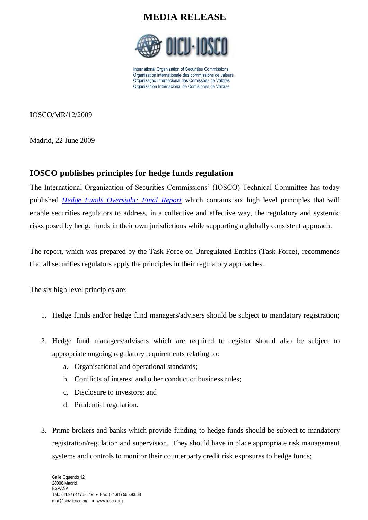

International Organization of Securities Commissions Organisation internationale des commissions de valeurs Organização Internacional das Comissões de Valores Organización Internacional de Comisiones de Valores

IOSCO/MR/12/2009

Madrid, 22 June 2009

#### **IOSCO publishes principles for hedge funds regulation**

The International Organization of Securities Commissions' (IOSCO) Technical Committee has today published *Hedge Funds [Oversight: Final](http://www.iosco.org/library/pubdocs/pdf/IOSCOPD293.pdf) Report* which contains six high level principles that will enable securities regulators to address, in a collective and effective way, the regulatory and systemic risks posed by hedge funds in their own jurisdictions while supporting a globally consistent approach.

The report, which was prepared by the Task Force on Unregulated Entities (Task Force), recommends that all securities regulators apply the principles in their regulatory approaches.

The six high level principles are:

- 1. Hedge funds and/or hedge fund managers/advisers should be subject to mandatory registration;
- 2. Hedge fund managers/advisers which are required to register should also be subject to appropriate ongoing regulatory requirements relating to:
	- a. Organisational and operational standards;
	- b. Conflicts of interest and other conduct of business rules;
	- c. Disclosure to investors; and
	- d. Prudential regulation.
- 3. Prime brokers and banks which provide funding to hedge funds should be subject to mandatory registration/regulation and supervision. They should have in place appropriate risk management systems and controls to monitor their counterparty credit risk exposures to hedge funds;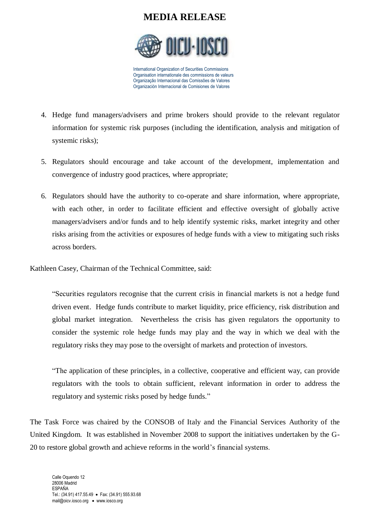

International Organization of Securities Commissions Organisation internationale des commissions de valeurs Organização Internacional das Comissões de Valores Organización Internacional de Comisiones de Valores

- 4. Hedge fund managers/advisers and prime brokers should provide to the relevant regulator information for systemic risk purposes (including the identification, analysis and mitigation of systemic risks);
- 5. Regulators should encourage and take account of the development, implementation and convergence of industry good practices, where appropriate;
- 6. Regulators should have the authority to co-operate and share information, where appropriate, with each other, in order to facilitate efficient and effective oversight of globally active managers/advisers and/or funds and to help identify systemic risks, market integrity and other risks arising from the activities or exposures of hedge funds with a view to mitigating such risks across borders.

Kathleen Casey, Chairman of the Technical Committee, said:

"Securities regulators recognise that the current crisis in financial markets is not a hedge fund driven event. Hedge funds contribute to market liquidity, price efficiency, risk distribution and global market integration. Nevertheless the crisis has given regulators the opportunity to consider the systemic role hedge funds may play and the way in which we deal with the regulatory risks they may pose to the oversight of markets and protection of investors.

"The application of these principles, in a collective, cooperative and efficient way, can provide regulators with the tools to obtain sufficient, relevant information in order to address the regulatory and systemic risks posed by hedge funds."

The Task Force was chaired by the CONSOB of Italy and the Financial Services Authority of the United Kingdom. It was established in November 2008 to support the initiatives undertaken by the G-20 to restore global growth and achieve reforms in the world's financial systems.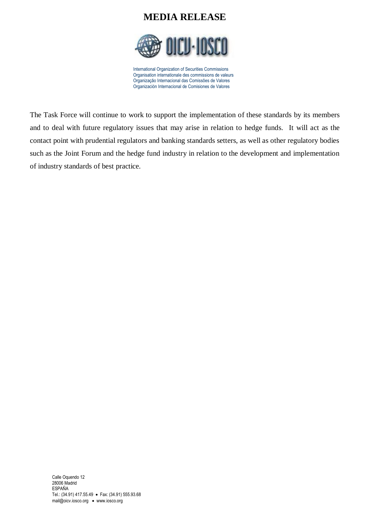

International Organization of Securities Commissions Organisation internationale des commissions de valeurs Organização Internacional das Comissões de Valores Organización Internacional de Comisiones de Valores

The Task Force will continue to work to support the implementation of these standards by its members and to deal with future regulatory issues that may arise in relation to hedge funds. It will act as the contact point with prudential regulators and banking standards setters, as well as other regulatory bodies such as the Joint Forum and the hedge fund industry in relation to the development and implementation of industry standards of best practice.